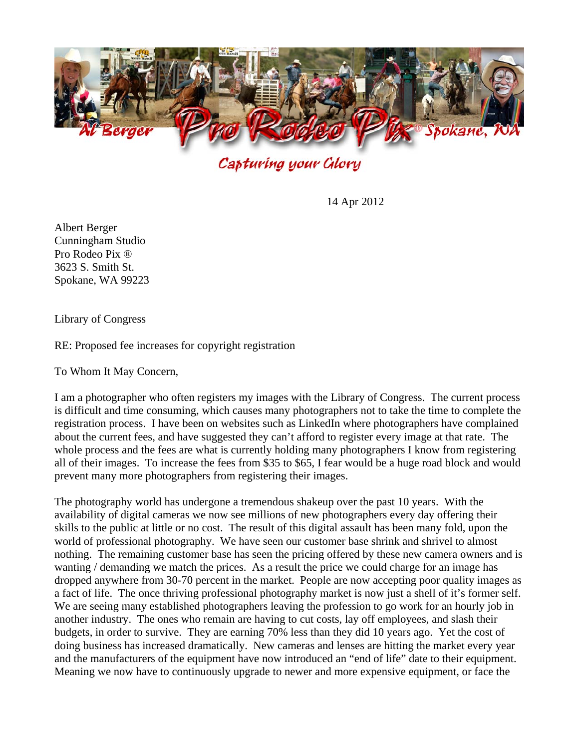

Capturing your Glory

14 Apr 2012

Albert Berger Cunningham Studio Pro Rodeo Pix ® 3623 S. Smith St. Spokane, WA 99223

Library of Congress

RE: Proposed fee increases for copyright registration

To Whom It May Concern,

I am a photographer who often registers my images with the Library of Congress. The current process is difficult and time consuming, which causes many photographers not to take the time to complete the registration process. I have been on websites such as LinkedIn where photographers have complained about the current fees, and have suggested they can't afford to register every image at that rate. The whole process and the fees are what is currently holding many photographers I know from registering all of their images. To increase the fees from \$35 to \$65, I fear would be a huge road block and would prevent many more photographers from registering their images.

The photography world has undergone a tremendous shakeup over the past 10 years. With the availability of digital cameras we now see millions of new photographers every day offering their skills to the public at little or no cost. The result of this digital assault has been many fold, upon the world of professional photography. We have seen our customer base shrink and shrivel to almost nothing. The remaining customer base has seen the pricing offered by these new camera owners and is wanting / demanding we match the prices. As a result the price we could charge for an image has dropped anywhere from 30-70 percent in the market. People are now accepting poor quality images as a fact of life. The once thriving professional photography market is now just a shell of it's former self. We are seeing many established photographers leaving the profession to go work for an hourly job in another industry. The ones who remain are having to cut costs, lay off employees, and slash their budgets, in order to survive. They are earning 70% less than they did 10 years ago. Yet the cost of doing business has increased dramatically. New cameras and lenses are hitting the market every year and the manufacturers of the equipment have now introduced an "end of life" date to their equipment. Meaning we now have to continuously upgrade to newer and more expensive equipment, or face the